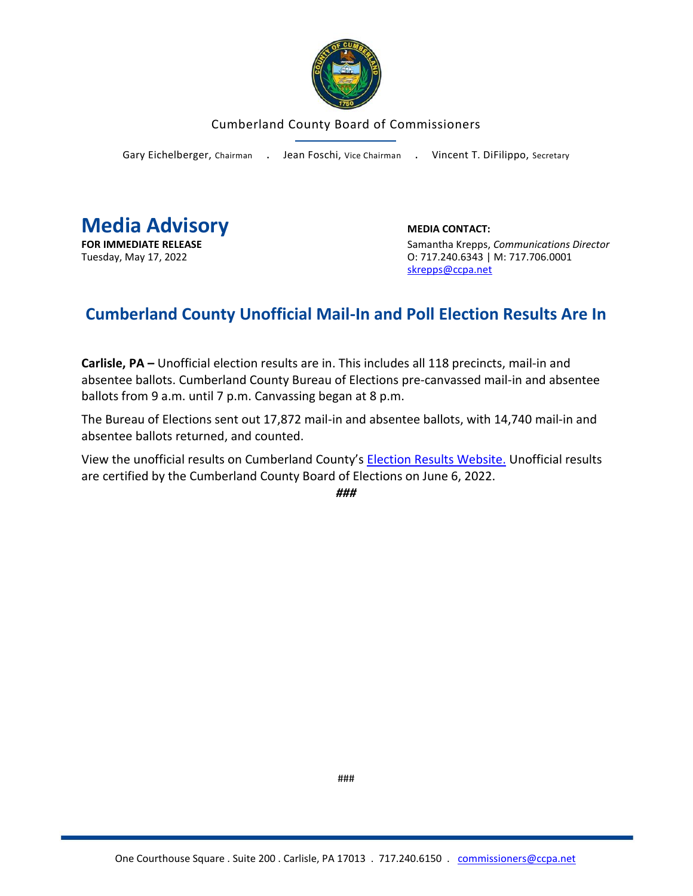

## Cumberland County Board of Commissioners

Gary Eichelberger, Chairman . Jean Foschi, Vice Chairman . Vincent T. DiFilippo, Secretary



**FOR IMMEDIATE RELEASE** Samantha Krepps, *Communications Director* Tuesday, May 17, 2022 O: 717.240.6343 | M: 717.706.0001 [skrepps@ccpa.net](mailto:skrepps@ccpa.net)

## **Cumberland County Unofficial Mail-In and Poll Election Results Are In**

**Carlisle, PA –** Unofficial election results are in. This includes all 118 precincts, mail-in and absentee ballots. Cumberland County Bureau of Elections pre-canvassed mail-in and absentee ballots from 9 a.m. until 7 p.m. Canvassing began at 8 p.m.

The Bureau of Elections sent out 17,872 mail-in and absentee ballots, with 14,740 mail-in and absentee ballots returned, and counted.

View the unofficial results on Cumberland County's [Election Results Website.](https://www.ccpa.net/3135/Election-Results) Unofficial results are certified by the Cumberland County Board of Elections on June 6, 2022.

*###*